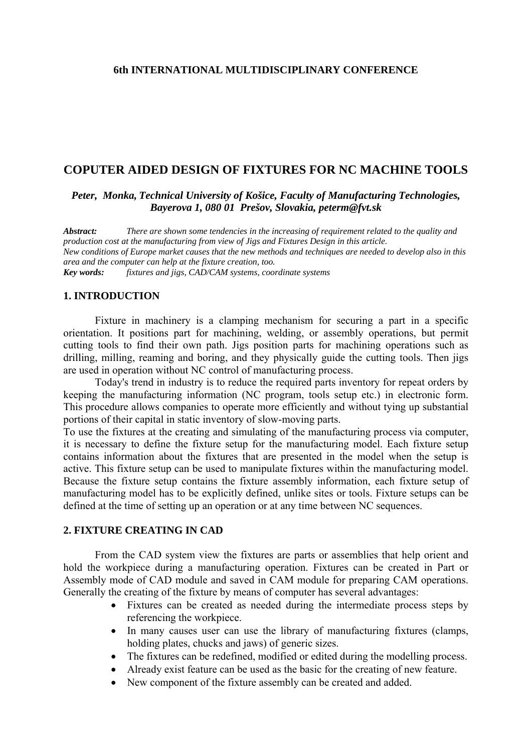### **6th INTERNATIONAL MULTIDISCIPLINARY CONFERENCE**

### **COPUTER AIDED DESIGN OF FIXTURES FOR NC MACHINE TOOLS**

*Peter, Monka, Technical University of Košice, Faculty of Manufacturing Technologies, Bayerova 1, 080 01 Prešov, Slovakia, peterm@fvt.sk*

*Abstract: There are shown some tendencies in the increasing of requirement related to the quality and production cost at the manufacturing from view of Jigs and Fixtures Design in this article. New conditions of Europe market causes that the new methods and techniques are needed to develop also in this area and the computer can help at the fixture creation, too. Key words: fixtures and jigs, CAD/CAM systems, coordinate systems* 

### **1. INTRODUCTION**

Fixture in machinery is a clamping mechanism for securing a part in a specific orientation. It positions part for machining, welding, or assembly operations, but permit cutting tools to find their own path. Jigs position parts for machining operations such as drilling, milling, reaming and boring, and they physically guide the cutting tools. Then jigs are used in operation without NC control of manufacturing process.

Today's trend in industry is to reduce the required parts inventory for repeat orders by keeping the manufacturing information (NC program, tools setup etc.) in electronic form. This procedure allows companies to operate more efficiently and without tying up substantial portions of their capital in static inventory of slow-moving parts.

To use the fixtures at the creating and simulating of the manufacturing process via computer, it is necessary to define the fixture setup for the manufacturing model. Each fixture setup contains information about the fixtures that are presented in the model when the setup is active. This fixture setup can be used to manipulate fixtures within the manufacturing model. Because the fixture setup contains the fixture assembly information, each fixture setup of manufacturing model has to be explicitly defined, unlike sites or tools. Fixture setups can be defined at the time of setting up an operation or at any time between NC sequences.

#### **2. FIXTURE CREATING IN CAD**

From the CAD system view the fixtures are parts or assemblies that help orient and hold the workpiece during a manufacturing operation. Fixtures can be created in Part or Assembly mode of CAD module and saved in CAM module for preparing CAM operations. Generally the creating of the fixture by means of computer has several advantages:

- Fixtures can be created as needed during the intermediate process steps by referencing the workpiece.
- In many causes user can use the library of manufacturing fixtures (clamps, holding plates, chucks and jaws) of generic sizes.
- The fixtures can be redefined, modified or edited during the modelling process.
- Already exist feature can be used as the basic for the creating of new feature.
- New component of the fixture assembly can be created and added.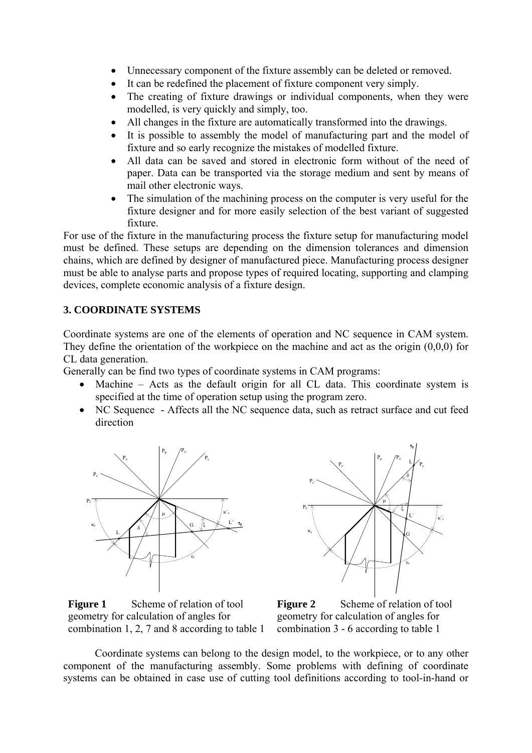- Unnecessary component of the fixture assembly can be deleted or removed.
- It can be redefined the placement of fixture component very simply.
- The creating of fixture drawings or individual components, when they were modelled, is very quickly and simply, too.
- All changes in the fixture are automatically transformed into the drawings.
- It is possible to assembly the model of manufacturing part and the model of fixture and so early recognize the mistakes of modelled fixture.
- All data can be saved and stored in electronic form without of the need of paper. Data can be transported via the storage medium and sent by means of mail other electronic ways.
- The simulation of the machining process on the computer is very useful for the fixture designer and for more easily selection of the best variant of suggested fixture.

For use of the fixture in the manufacturing process the fixture setup for manufacturing model must be defined. These setups are depending on the dimension tolerances and dimension chains, which are defined by designer of manufactured piece. Manufacturing process designer must be able to analyse parts and propose types of required locating, supporting and clamping devices, complete economic analysis of a fixture design.

# **3. COORDINATE SYSTEMS**

Coordinate systems are one of the elements of operation and NC sequence in CAM system. They define the orientation of the workpiece on the machine and act as the origin (0,0,0) for CL data generation.

Generally can be find two types of coordinate systems in CAM programs:

- Machine Acts as the default origin for all CL data. This coordinate system is specified at the time of operation setup using the program zero.
- NC Sequence Affects all the NC sequence data, such as retract surface and cut feed direction





**Figure 1** Scheme of relation of tool geometry for calculation of angles for combination 1, 2, 7 and 8 according to table 1

**Figure 2** Scheme of relation of tool geometry for calculation of angles for combination 3 - 6 according to table 1

Coordinate systems can belong to the design model, to the workpiece, or to any other component of the manufacturing assembly. Some problems with defining of coordinate systems can be obtained in case use of cutting tool definitions according to tool-in-hand or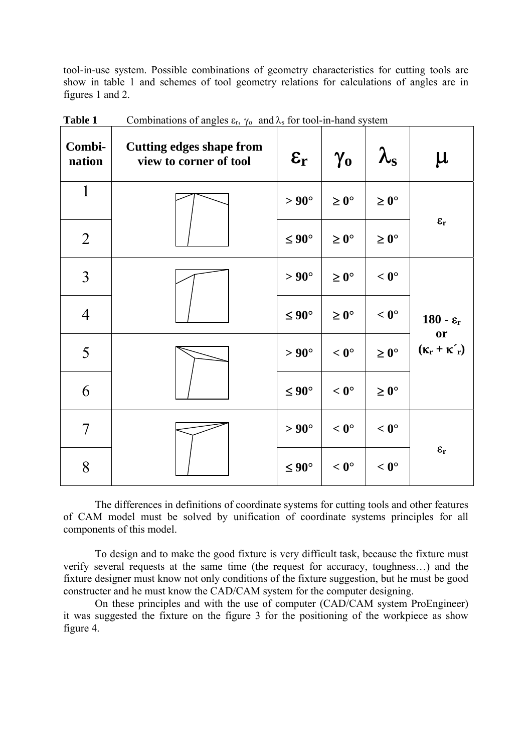tool-in-use system. Possible combinations of geometry characteristics for cutting tools are show in table 1 and schemes of tool geometry relations for calculations of angles are in figures 1 and 2.

| Combi-<br>nation | <b>Cutting edges shape from</b><br>view to corner of tool | $\epsilon_{\rm r}$ | $\gamma_{o}$     | $\lambda_{\rm s}$ | $\mu$                          |
|------------------|-----------------------------------------------------------|--------------------|------------------|-------------------|--------------------------------|
| $\mathbf{1}$     |                                                           | $> 90^{\circ}$     | $\geq 0^{\circ}$ | $\geq 0^{\circ}$  | $\epsilon_{\rm r}$             |
| $\overline{2}$   |                                                           | $\leq 90^{\circ}$  | $\geq 0^{\circ}$ | $\geq 0^\circ$    |                                |
| $\overline{3}$   |                                                           | $> 90^\circ$       | $\geq 0^{\circ}$ | $< 0^{\circ}$     | $180 - \varepsilon_r$          |
| $\overline{4}$   |                                                           | $\leq 90^{\circ}$  | $\geq 0^{\circ}$ | $< 0^{\circ}$     |                                |
| 5                |                                                           | $> 90^\circ$       | $< 0^{\circ}$    | $\geq 0^{\circ}$  | or<br>$(\kappa_r + \kappa'_r)$ |
| 6                |                                                           | $\leq 90^{\circ}$  | $< 0^{\circ}$    | $\geq 0^{\circ}$  |                                |
| $\overline{7}$   |                                                           | $> 90^{\circ}$     | $< 0^{\circ}$    | $< 0^{\circ}$     |                                |
| 8                |                                                           | $\leq 90^{\circ}$  | $< 0^{\circ}$    | $< 0^{\circ}$     | $\epsilon_{\rm r}$             |

**Table 1** Combinations of angles  $\varepsilon_r$ ,  $\gamma_o$  and  $\lambda_s$  for tool-in-hand system

The differences in definitions of coordinate systems for cutting tools and other features of CAM model must be solved by unification of coordinate systems principles for all components of this model.

To design and to make the good fixture is very difficult task, because the fixture must verify several requests at the same time (the request for accuracy, toughness…) and the fixture designer must know not only conditions of the fixture suggestion, but he must be good constructer and he must know the CAD/CAM system for the computer designing.

On these principles and with the use of computer (CAD/CAM system ProEngineer) it was suggested the fixture on the figure 3 for the positioning of the workpiece as show figure 4.